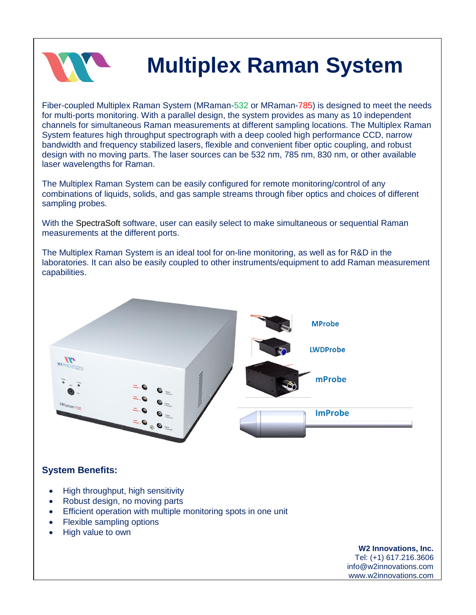

# **Multiplex Raman System**

Fiber-coupled Multiplex Raman System (MRaman-532 or MRaman-785) is designed to meet the needs for multi-ports monitoring. With a parallel design, the system provides as many as 10 independent channels for simultaneous Raman measurements at different sampling locations. The Multiplex Raman System features high throughput spectrograph with a deep cooled high performance CCD, narrow bandwidth and frequency stabilized lasers, flexible and convenient fiber optic coupling, and robust design with no moving parts. The laser sources can be 532 nm, 785 nm, 830 nm, or other available laser wavelengths for Raman.

The Multiplex Raman System can be easily configured for remote monitoring/control of any combinations of liquids, solids, and gas sample streams through fiber optics and choices of different sampling probes.

With the SpectraSoft software, user can easily select to make simultaneous or sequential Raman measurements at the different ports.

The Multiplex Raman System is an ideal tool for on-line monitoring, as well as for R&D in the laboratories. It can also be easily coupled to other instruments/equipment to add Raman measurement capabilities.



### **System Benefits:**

- High throughput, high sensitivity
- Robust design, no moving parts
- **Efficient operation with multiple monitoring spots in one unit**
- Flexible sampling options
- High value to own

#### **W2 Innovations, Inc.** Tel: (+1) 617.216.3606

info@w2innovations.com www.w2innovations.com